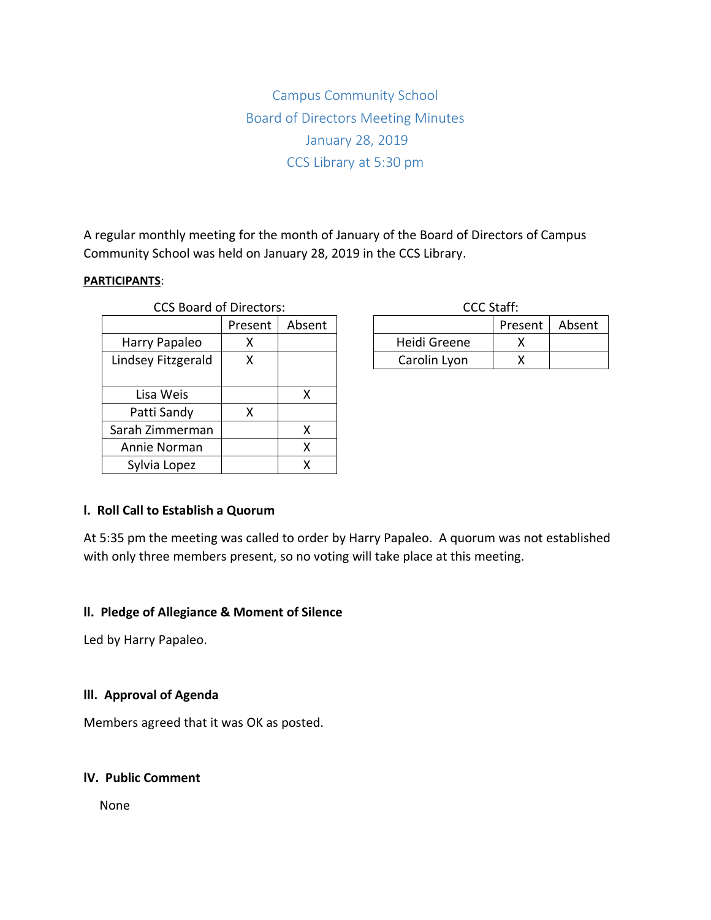Campus Community School Board of Directors Meeting Minutes January 28, 2019 CCS Library at 5:30 pm

A regular monthly meeting for the month of January of the Board of Directors of Campus Community School was held on January 28, 2019 in the CCS Library.

### **PARTICIPANTS**:

| <b>CCS Board of Directors:</b> |         |        | <b>CCC Staff:</b> |     |
|--------------------------------|---------|--------|-------------------|-----|
|                                | Present | Absent |                   | Pre |
| Harry Papaleo                  | х       |        | Heidi Greene      |     |
| Lindsey Fitzgerald             | х       |        | Carolin Lyon      |     |
|                                |         |        |                   |     |
| Lisa Weis                      |         | x      |                   |     |
| Patti Sandy                    | х       |        |                   |     |
| Sarah Zimmerman                |         | х      |                   |     |
| Annie Norman                   |         | χ      |                   |     |
| Sylvia Lopez                   |         | х      |                   |     |

| CCC Staff:   |         |        |  |  |  |
|--------------|---------|--------|--|--|--|
|              | Present | Absent |  |  |  |
| Heidi Greene |         |        |  |  |  |
| Carolin Lyon |         |        |  |  |  |

## **l. Roll Call to Establish a Quorum**

At 5:35 pm the meeting was called to order by Harry Papaleo. A quorum was not established with only three members present, so no voting will take place at this meeting.

#### **ll. Pledge of Allegiance & Moment of Silence**

Led by Harry Papaleo.

## **lll. Approval of Agenda**

Members agreed that it was OK as posted.

#### **lV. Public Comment**

None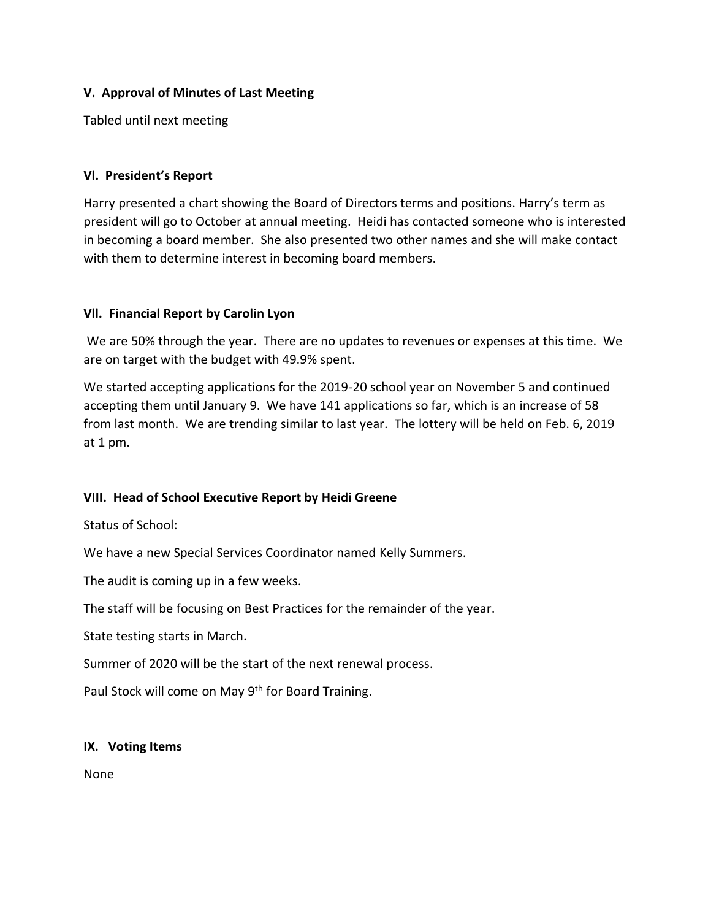# **V. Approval of Minutes of Last Meeting**

Tabled until next meeting

# **Vl. President's Report**

Harry presented a chart showing the Board of Directors terms and positions. Harry's term as president will go to October at annual meeting. Heidi has contacted someone who is interested in becoming a board member. She also presented two other names and she will make contact with them to determine interest in becoming board members.

## **Vll. Financial Report by Carolin Lyon**

We are 50% through the year. There are no updates to revenues or expenses at this time. We are on target with the budget with 49.9% spent.

We started accepting applications for the 2019-20 school year on November 5 and continued accepting them until January 9. We have 141 applications so far, which is an increase of 58 from last month. We are trending similar to last year. The lottery will be held on Feb. 6, 2019 at 1 pm.

# **VIII. Head of School Executive Report by Heidi Greene**

Status of School:

We have a new Special Services Coordinator named Kelly Summers.

The audit is coming up in a few weeks.

The staff will be focusing on Best Practices for the remainder of the year.

State testing starts in March.

Summer of 2020 will be the start of the next renewal process.

Paul Stock will come on May 9<sup>th</sup> for Board Training.

## **IX. Voting Items**

None